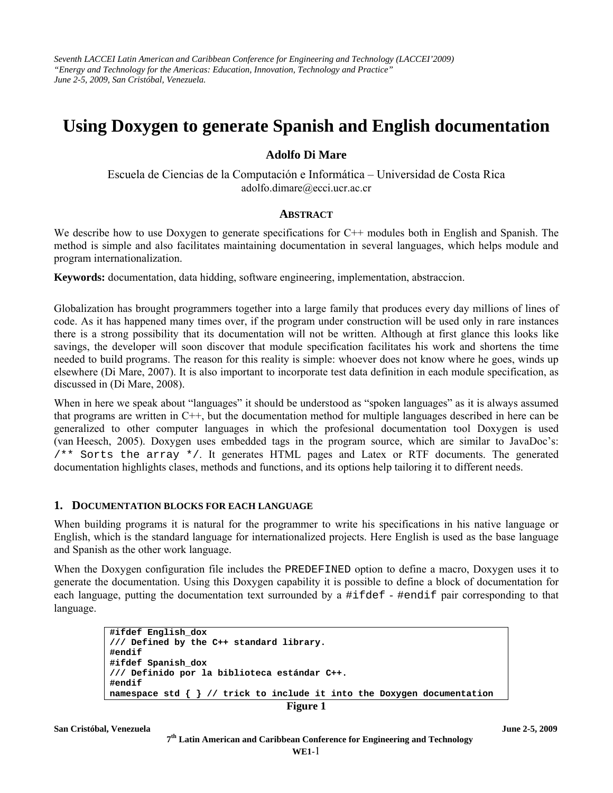*Seventh LACCEI Latin American and Caribbean Conference for Engineering and Technology (LACCEI'2009) "Energy and Technology for the Americas: Education, Innovation, Technology and Practice" June 2-5, 2009, San Cristóbal, Venezuela.* 

# **Using Doxygen to generate Spanish and English documentation**

# **Adolfo Di Mare**

Escuela de Ciencias de la Computación e Informática – Universidad de Costa Rica adolfo.dimare@ecci.ucr.ac.cr

#### **ABSTRACT**

We describe how to use Doxygen to generate specifications for C<sup>++</sup> modules both in English and Spanish. The method is simple and also facilitates maintaining documentation in several languages, which helps module and program internationalization.

**Keywords:** documentation, data hidding, software engineering, implementation, abstraccion.

Globalization has brought programmers together into a large family that produces every day millions of lines of code. As it has happened many times over, if the program under construction will be used only in rare instances there is a strong possibility that its documentation will not be written. Although at first glance this looks like savings, the developer will soon discover that module specification facilitates his work and shortens the time needed to build programs. The reason for this reality is simple: whoever does not know where he goes, winds up elsewhere (Di Mare, 2007). It is also important to incorporate test data definition in each module specification, as discussed in (Di Mare, 2008).

When in here we speak about "languages" it should be understood as "spoken languages" as it is always assumed that programs are written in C++, but the documentation method for multiple languages described in here can be generalized to other computer languages in which the profesional documentation tool Doxygen is used (van Heesch, 2005). Doxygen uses embedded tags in the program source, which are similar to JavaDoc's: /\*\* Sorts the array \*/. It generates HTML pages and Latex or RTF documents. The generated documentation highlights clases, methods and functions, and its options help tailoring it to different needs.

#### **1. DOCUMENTATION BLOCKS FOR EACH LANGUAGE**

When building programs it is natural for the programmer to write his specifications in his native language or English, which is the standard language for internationalized projects. Here English is used as the base language and Spanish as the other work language.

When the Doxygen configuration file includes the PREDEFINED option to define a macro, Doxygen uses it to generate the documentation. Using this Doxygen capability it is possible to define a block of documentation for each language, putting the documentation text surrounded by a #ifdef - #endif pair corresponding to that language.

```
#ifdef English_dox 
/// Defined by the C++ standard library. 
#endif 
#ifdef Spanish_dox 
/// Definido por la biblioteca estándar C++. 
#endif 
namespace std { } // trick to include it into the Doxygen documentation
```

```
Figure 1
```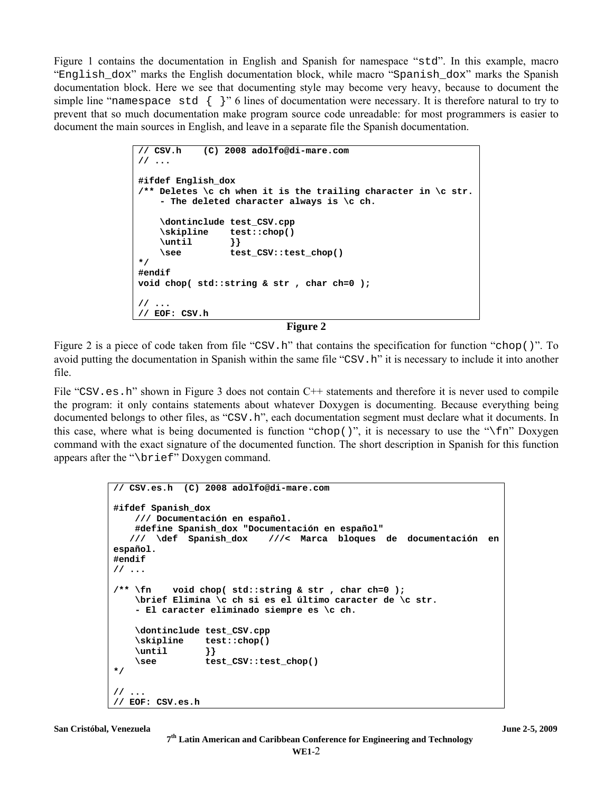Figure 1 contains the documentation in English and Spanish for namespace "std". In this example, macro "English\_dox" marks the English documentation block, while macro "Spanish\_dox" marks the Spanish documentation block. Here we see that documenting style may become very heavy, because to document the simple line "namespace std  $\{ \}$ " 6 lines of documentation were necessary. It is therefore natural to try to prevent that so much documentation make program source code unreadable: for most programmers is easier to document the main sources in English, and leave in a separate file the Spanish documentation.

```
// CSV.h (C) 2008 adolfo@di-mare.com
// ... 
#ifdef English_dox 
/** Deletes \c ch when it is the trailing character in \c str. 
     - The deleted character always is \c ch. 
     \dontinclude test_CSV.cpp 
     \skipline test::chop() 
     \until }} 
     \see test_CSV::test_chop() 
*/ 
#endif 
void chop( std::string & str , char ch=0 ); 
// ... 
// EOF: CSV.h
```
**Figure 2** 

Figure 2 is a piece of code taken from file "CSV.h" that contains the specification for function "chop()". To avoid putting the documentation in Spanish within the same file "CSV.h" it is necessary to include it into another file.

File "CSV.es.h" shown in Figure 3 does not contain C++ statements and therefore it is never used to compile the program: it only contains statements about whatever Doxygen is documenting. Because everything being documented belongs to other files, as "CSV.h", each documentation segment must declare what it documents. In this case, where what is being documented is function "chop()", it is necessary to use the " $\frac{1}{n}$ " Doxygen command with the exact signature of the documented function. The short description in Spanish for this function appears after the "\brief" Doxygen command.

```
// CSV.es.h (C) 2008 adolfo@di-mare.com
#ifdef Spanish_dox 
    /// Documentación en español. 
    #define Spanish_dox "Documentación en español" 
                              /// \def Spanish_dox ///< Marca bloques de documentación en 
español. 
#endif 
// ... 
/** \fn void chop( std::string & str , char ch=0 ); 
     \brief Elimina \c ch si es el último caracter de \c str. 
     - El caracter eliminado siempre es \c ch. 
     \dontinclude test_CSV.cpp 
     \skipline test::chop() 
     \until }} 
     \see test_CSV::test_chop() 
*/ 
// ... 
// EOF: CSV.es.h
```

```
San Cristóbal, Venezuela June 2-5, 2009
```
 **7th Latin American and Caribbean Conference for Engineering and Technology**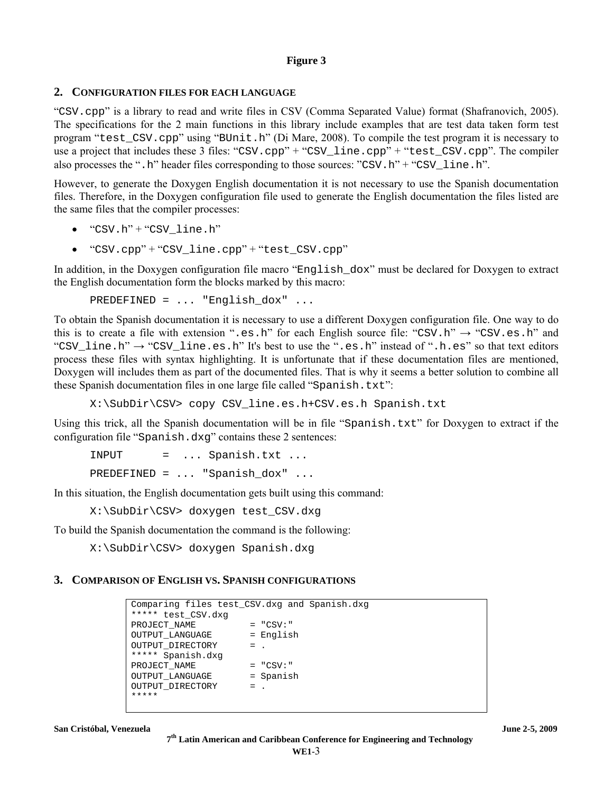## **Figure 3**

# **2. CONFIGURATION FILES FOR EACH LANGUAGE**

"CSV.cpp" is a library to read and write files in CSV (Comma Separated Value) format (Shafranovich, 2005). The specifications for the 2 main functions in this library include examples that are test data taken form test program "test\_CSV.cpp" using "BUnit.h" (Di Mare, 2008). To compile the test program it is necessary to use a project that includes these 3 files: "CSV.cpp" + "CSV line.cpp" + "test CSV.cpp". The compiler also processes the ".h" header files corresponding to those sources: "CSV.h" + "CSV\_line.h".

However, to generate the Doxygen English documentation it is not necessary to use the Spanish documentation files. Therefore, in the Doxygen configuration file used to generate the English documentation the files listed are the same files that the compiler processes:

- $\bullet$  "CSV.h" + "CSV line.h"
- "CSV.cpp" + "CSV\_line.cpp" + "test\_CSV.cpp"

In addition, in the Doxygen configuration file macro "English\_dox" must be declared for Doxygen to extract the English documentation form the blocks marked by this macro:

PREDEFINED = ... "English\_dox" ...

To obtain the Spanish documentation it is necessary to use a different Doxygen configuration file. One way to do this is to create a file with extension ".es.h" for each English source file: "CSV.h"  $\rightarrow$  "CSV.es.h" and "CSV\_line.h"  $\rightarrow$  "CSV\_line.es.h" It's best to use the ".es.h" instead of ".h.es" so that text editors process these files with syntax highlighting. It is unfortunate that if these documentation files are mentioned, Doxygen will includes them as part of the documented files. That is why it seems a better solution to combine all these Spanish documentation files in one large file called "Spanish.txt":

X:\SubDir\CSV> copy CSV\_line.es.h+CSV.es.h Spanish.txt

Using this trick, all the Spanish documentation will be in file "Spanish.txt" for Doxygen to extract if the configuration file "Spanish.dxg" contains these 2 sentences:

INPUT = ... Spanish.txt ...

PREDEFINED = ... "Spanish\_dox" ...

In this situation, the English documentation gets built using this command:

X:\SubDir\CSV> doxygen test\_CSV.dxg

To build the Spanish documentation the command is the following:

X:\SubDir\CSV> doxygen Spanish.dxg

## **3. COMPARISON OF ENGLISH VS. SPANISH CONFIGURATIONS**

```
Comparing files test_CSV.dxg and Spanish.dxg 
***** test_CSV.dxg 
PROJECT_NAME = "CSV:" 
OUTPUT_LANGUAGE = English 
OUTPUT_DIRECTORY = .
***** Spanish.dxg 
PROJECT NAME = "CSV:"
OUTPUT_LANGUAGE = Spanish
OUTPUT_DIRECTORY = . 
*****
```
 **7th Latin American and Caribbean Conference for Engineering and Technology**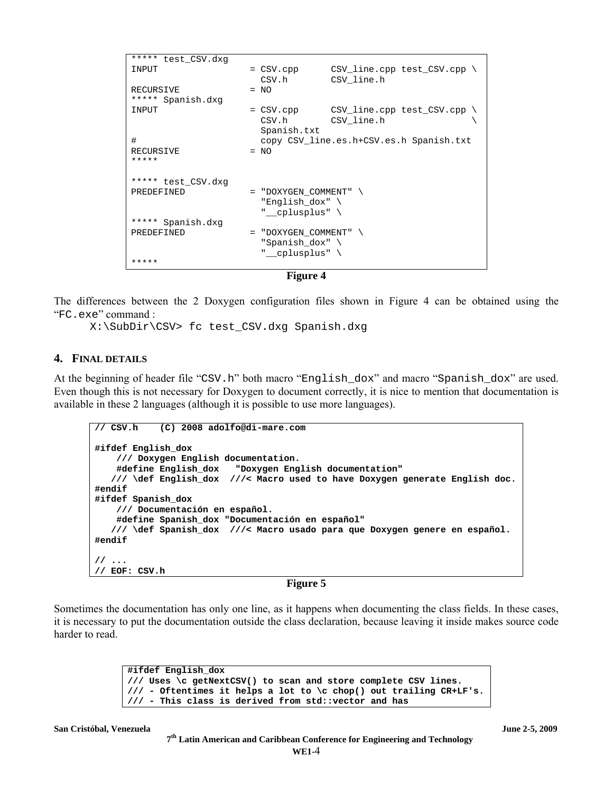```
***** test_CSV.dxg 
INPUT = CSV.cpp CSV\_line.cpp test_CSV.cpp \
                     CSV.h CSV_line.h 
RECURSIVE = NO
***** Spanish.dxg 
INPUT = CSV.cpp CSV\_line.cpp test_CSV.cpp \
                     CSV.h CSV_line.h \ 
                     Spanish.txt 
# copy CSV_line.es.h+CSV.es.h Spanish.txt 
RECURSIVE = NO
***** 
***** test_CSV.dxg<br>PREDEFINED
                   = "DOXYGEN_COMMENT" \
                     "English_dox" \ 
                     "__cplusplus" \ 
***** Spanish.dxg 
PREDEFINED = "DOXYGEN_COMMENT" \
                      "Spanish_dox" \ 
                     __cplusplus" \
*****
```

```
Figure 4
```
The differences between the 2 Doxygen configuration files shown in Figure 4 can be obtained using the "FC.exe" command :

X:\SubDir\CSV> fc test\_CSV.dxg Spanish.dxg

#### **4. FINAL DETAILS**

At the beginning of header file "CSV.h" both macro "English\_dox" and macro "Spanish\_dox" are used. Even though this is not necessary for Doxygen to document correctly, it is nice to mention that documentation is available in these 2 languages (although it is possible to use more languages).

```
// CSV.h (C) 2008 adolfo@di-mare.com
#ifdef English_dox 
     /// Doxygen English documentation. 
     #define English_dox "Doxygen English documentation" 
    /// \def English_dox ///< Macro used to have Doxygen generate English doc. 
#endif 
#ifdef Spanish_dox 
     /// Documentación en español. 
     #define Spanish_dox "Documentación en español" 
    /// \def Spanish_dox ///< Macro usado para que Doxygen genere en español. 
#endif 
// ... 
// EOF: CSV.h
```
#### **Figure 5**

Sometimes the documentation has only one line, as it happens when documenting the class fields. In these cases, it is necessary to put the documentation outside the class declaration, because leaving it inside makes source code harder to read.

> **#ifdef English\_dox /// Uses \c getNextCSV() to scan and store complete CSV lines. /// - Oftentimes it helps a lot to \c chop() out trailing CR+LF's. /// - This class is derived from std::vector and has**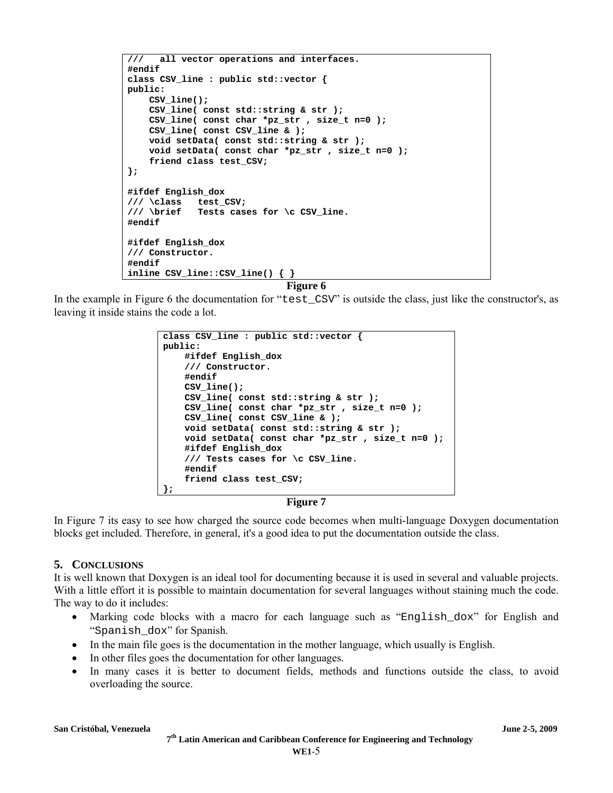```
/// all vector operations and interfaces.
#endif 
class CSV_line : public std::vector { 
public: 
     CSV_line(); 
     CSV_line( const std::string & str ); 
     CSV_line( const char *pz_str , size_t n=0 ); 
     CSV_line( const CSV_line & ); 
     void setData( const std::string & str ); 
     void setData( const char *pz_str , size_t n=0 ); 
     friend class test_CSV; 
}; 
#ifdef English_dox 
/// \class test_CSV; 
/// \brief Tests cases for \c CSV_line. 
#endif 
#ifdef English_dox 
/// Constructor. 
#endif 
inline CSV_line::CSV_line() { }
```
**Figure 6** 

In the example in Figure 6 the documentation for "test\_CSV" is outside the class, just like the constructor's, as leaving it inside stains the code a lot.

```
class CSV_line : public std::vector {
public: 
     #ifdef English_dox 
     /// Constructor. 
     #endif 
     CSV_line(); 
     CSV_line( const std::string & str ); 
     CSV_line( const char *pz_str , size_t n=0 ); 
     CSV_line( const CSV_line & ); 
     void setData( const std::string & str ); 
     void setData( const char *pz_str , size_t n=0 ); 
     #ifdef English_dox 
     /// Tests cases for \c CSV_line. 
     #endif 
     friend class test_CSV; 
};
```
## **Figure 7**

In Figure 7 its easy to see how charged the source code becomes when multi-language Doxygen documentation blocks get included. Therefore, in general, it's a good idea to put the documentation outside the class.

# **5. CONCLUSIONS**

It is well known that Doxygen is an ideal tool for documenting because it is used in several and valuable projects. With a little effort it is possible to maintain documentation for several languages without staining much the code. The way to do it includes:

- Marking code blocks with a macro for each language such as "English\_dox" for English and "Spanish\_dox" for Spanish.
- In the main file goes is the documentation in the mother language, which usually is English.
- In other files goes the documentation for other languages.
- In many cases it is better to document fields, methods and functions outside the class, to avoid overloading the source.